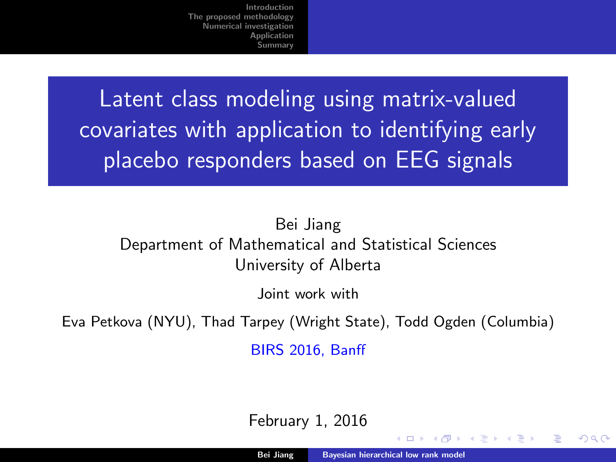<span id="page-0-0"></span>Latent class modeling using matrix-valued covariates with application to identifying early placebo responders based on EEG signals

#### Bei Jiang Department of Mathematical and Statistical Sciences University of Alberta

Joint work with

Eva Petkova (NYU), Thad Tarpey (Wright State), Todd Ogden (Columbia)

BIRS 2016, Banff

February 1, 2016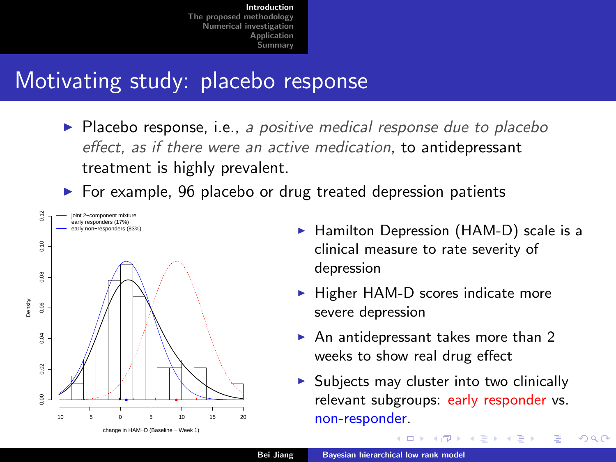# <span id="page-1-0"></span>Motivating study: placebo response

 $\triangleright$  Placebo response, i.e., a positive medical response due to placebo effect, as if there were an active medication, to antidepressant treatment is highly prevalent.

 $\triangleright$  For example, 96 placebo or drug treated depression patients



change in HAM−D (Baseline − Week 1)

- ► Hamilton Depression (HAM-D) scale is a clinical measure to rate severity of depression
- $\blacktriangleright$  Higher HAM-D scores indicate more severe depression
- $\blacktriangleright$  An antidepressant takes more than 2 weeks to show real drug effect
- $\triangleright$  Subjects may cluster into two clinically relevant subgroups: early responder vs. non-responder.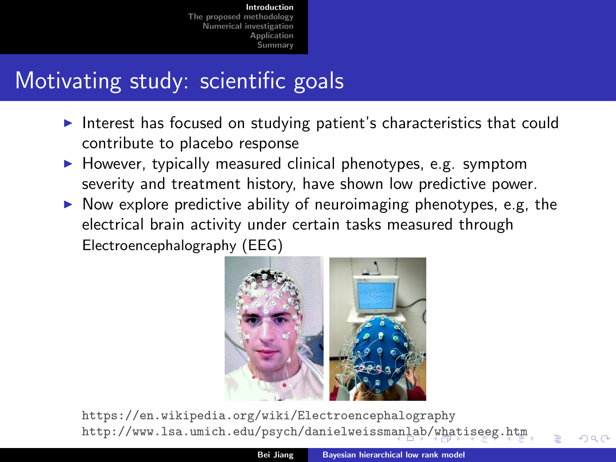# <span id="page-2-0"></span>Motivating study: scientific goals

- Interest has focused on studying patient's characteristics that could contribute to placebo response
- $\blacktriangleright$  However, typically measured clinical phenotypes, e.g. symptom severity and treatment history, have shown low predictive power.
- $\triangleright$  Now explore predictive ability of neuroimaging phenotypes, e.g, the electrical brain activity under certain tasks measured through Electroencephalography (EEG)



https://en.wikipedia.org/wiki/Electroencephalography http://www.lsa.umich.edu/psych/danielweissm[anl](#page-1-0)[ab](#page-3-0)[/w](#page-1-0)[ha](#page-2-0)[t](#page-3-0)[is](#page-0-0)[e](#page-1-0)[e](#page-4-0)[g.](#page-5-0)[h](#page-0-0)[t](#page-1-0)[m](#page-4-0)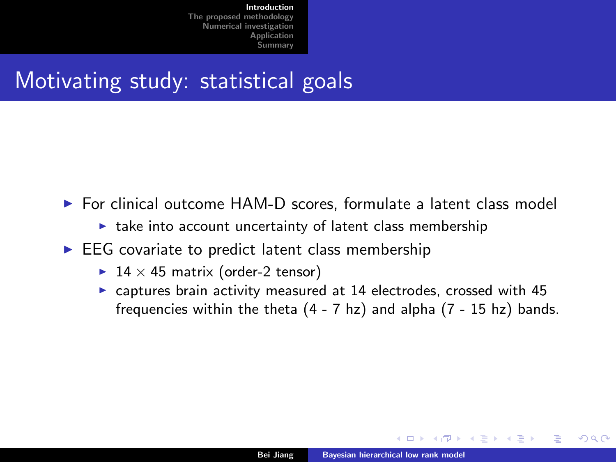# <span id="page-3-0"></span>Motivating study: statistical goals

- $\triangleright$  For clinical outcome HAM-D scores, formulate a latent class model
	- $\blacktriangleright$  take into account uncertainty of latent class membership
- $\triangleright$  EEG covariate to predict latent class membership
	- ▶ 14  $\times$  45 matrix (order-2 tensor)
	- $\triangleright$  captures brain activity measured at 14 electrodes, crossed with 45 frequencies within the theta (4 - 7 hz) and alpha (7 - 15 hz) bands.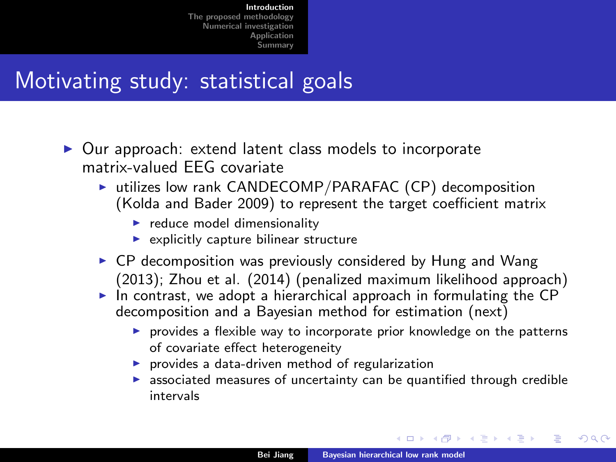# <span id="page-4-0"></span>Motivating study: statistical goals

- $\triangleright$  Our approach: extend latent class models to incorporate matrix-valued EEG covariate
	- $\triangleright$  utilizes low rank CANDECOMP/PARAFAC (CP) decomposition (Kolda and Bader 2009) to represent the target coefficient matrix
		- $\blacktriangleright$  reduce model dimensionality
		- $\blacktriangleright$  explicitly capture bilinear structure
	- $\triangleright$  CP decomposition was previously considered by Hung and Wang (2013); Zhou et al. (2014) (penalized maximum likelihood approach)
	- $\triangleright$  In contrast, we adopt a hierarchical approach in formulating the CP decomposition and a Bayesian method for estimation (next)
		- $\triangleright$  provides a flexible way to incorporate prior knowledge on the patterns of covariate effect heterogeneity
		- $\blacktriangleright$  provides a data-driven method of regularization
		- $\blacktriangleright$  associated measures of uncertainty can be quantified through credible intervals

in the se

 $\Omega$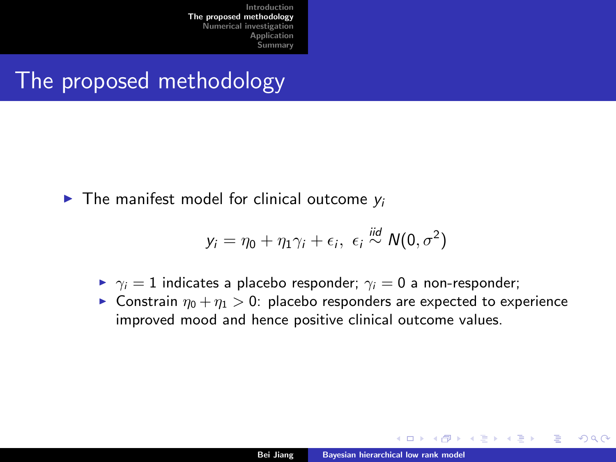## <span id="page-5-0"></span>The proposed methodology

 $\blacktriangleright$  The manifest model for clinical outcome  $v_i$ 

$$
y_i = \eta_0 + \eta_1 \gamma_i + \epsilon_i, \ \epsilon_i \stackrel{iid}{\sim} N(0, \sigma^2)
$$

- $\rightarrow \gamma_i = 1$  indicates a placebo responder;  $\gamma_i = 0$  a non-responder;
- **Constrain**  $\eta_0 + \eta_1 > 0$ : placebo responders are expected to experience improved mood and hence positive clinical outcome values.

 $\Omega$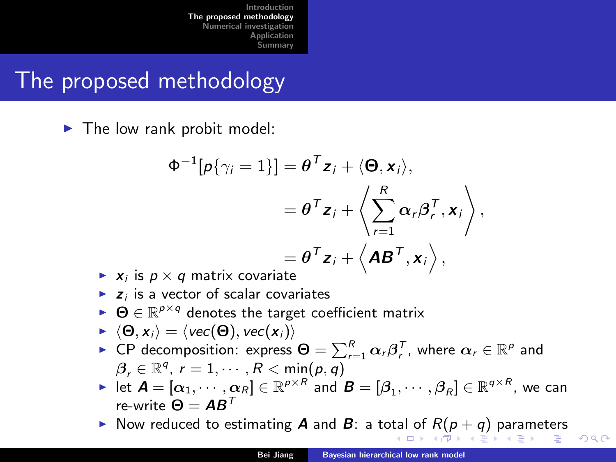### <span id="page-6-0"></span>The proposed methodology

 $\blacktriangleright$  The low rank probit model:

$$
\Phi^{-1}[p\{\gamma_i = 1\}] = \theta^T \mathbf{z}_i + \langle \mathbf{\Theta}, \mathbf{x}_i \rangle,
$$
  
\n
$$
= \theta^T \mathbf{z}_i + \langle \sum_{r=1}^R \alpha_r \beta_r^T, \mathbf{x}_i \rangle,
$$
  
\n
$$
= \theta^T \mathbf{z}_i + \langle \mathbf{A} \mathbf{B}^T, \mathbf{x}_i \rangle,
$$

- $\blacktriangleright$   $x_i$  is  $p \times q$  matrix covariate
- $\blacktriangleright$  z<sub>i</sub> is a vector of scalar covariates
- $\blacktriangleright$   $\Theta \in \mathbb{R}^{p \times q}$  denotes the target coefficient matrix
- $\blacktriangleright \langle \Theta, x_i \rangle = \langle vec(\Theta), vec(x_i) \rangle$
- ► CP decomposition: express  $\bm{\Theta} = \sum_{r=1}^R \bm{\alpha}_r \bm{\beta}_r^{\mathsf{T}}$ , where  $\bm{\alpha}_r \in \mathbb{R}^p$  and  $\beta_r \in \mathbb{R}^q$ ,  $r = 1, \cdots, R < \min(p, q)$
- $\blacktriangleright$  let  $\boldsymbol{A} = [\alpha_1, \cdots, \alpha_R] \in \mathbb{R}^{\rho \times R}$  and  $\boldsymbol{B} = [\beta_1, \cdots, \beta_R] \in \mathbb{R}^{q \times R}$ , we can re-write  $Θ = AB^T$
- Now reduced to estim[a](#page-4-0)ting **A** and **B**: a to[tal](#page-5-0) [of](#page-7-0)  $R(p+q)$  $R(p+q)$  $R(p+q)$  $R(p+q)$  $R(p+q)$  $R(p+q)$  [p](#page-12-0)a[ra](#page-5-0)[m](#page-12-0)[ete](#page-0-0)[rs](#page-22-0)

つへへ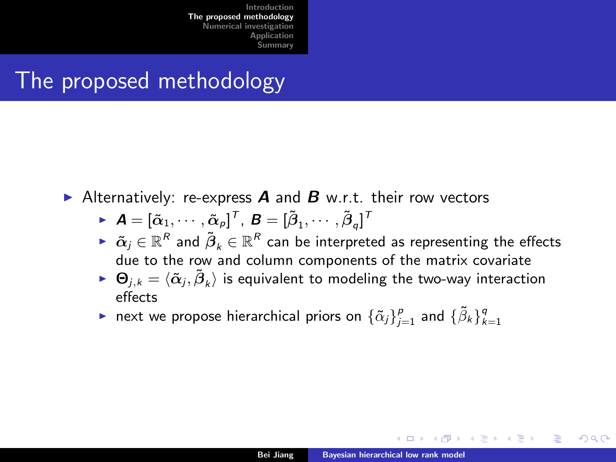# <span id="page-7-0"></span>The proposed methodology

Alternatively: re-express  $\bm{A}$  and  $\bm{B}$  w.r.t. their row vectors

- $\blacktriangleright$   $\bm{A} = [\tilde{\alpha}_1, \cdots, \tilde{\alpha}_p]^\mathsf{T}$ ,  $\bm{B} = [\tilde{\beta}_1, \cdots, \tilde{\beta}_q]^\mathsf{T}$
- $\blacktriangleright \ \ \tilde{\bm{\alpha}}_j \in \mathbb{R}^{R}$  and  $\tilde{\bm{\beta}}_k \in \mathbb{R}^{R}$  can be interpreted as representing the effects due to the row and column components of the matrix covariate
- $\blacktriangleright \; \Theta_{j,k} = \langle \tilde{\alpha}_j, \tilde{\boldsymbol{\beta}}_k \rangle$  is equivalent to modeling the two-way interaction effects
- next we propose hierarchical priors on  $\{\tilde{\alpha}_j\}_{j=1}^p$  and  $\{\tilde{\beta}_k\}_{k=1}^q$

不良 下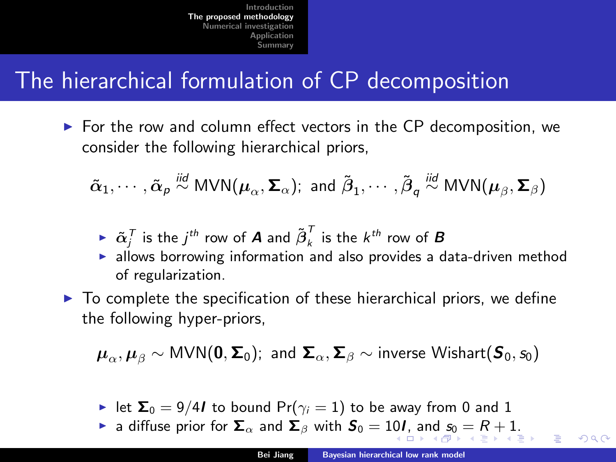# <span id="page-8-0"></span>The hierarchical formulation of CP decomposition

 $\triangleright$  For the row and column effect vectors in the CP decomposition, we consider the following hierarchical priors,

 $\tilde{\alpha}_1,\cdots,\tilde{\alpha}_\rho\stackrel{\text{\scriptsize{\textit{iid}}}}{\sim} \text{\scriptsize{\textsf{MVN}}}(\pmb{\mu}_\alpha,\pmb{\Sigma}_\alpha);$  and  $\tilde{\beta}_1,\cdots,\tilde{\beta}_q\stackrel{\text{\scriptsize{\textit{iid}}}}{\sim} \text{\scriptsize{\textsf{MVN}}}(\pmb{\mu}_\beta,\pmb{\Sigma}_\beta)$ 

$$
\blacktriangleright \ \tilde{\alpha}_j^T \text{ is the } j^{th} \text{ row of } A \text{ and } \tilde{\beta}_k^T \text{ is the } k^{th} \text{ row of } B
$$

- Extract is the figure of  $\mathbf{A}$  and  $D_k$  is the *K* 1000 of **B**<br>In allows borrowing information and also provides a data-driven method of regularization.
- $\triangleright$  To complete the specification of these hierarchical priors, we define the following hyper-priors,

$$
\boldsymbol{\mu}_{\alpha}, \boldsymbol{\mu}_{\beta} \sim \text{MVN}(\boldsymbol{0}, \boldsymbol{\Sigma}_0); \text{ and } \boldsymbol{\Sigma}_{\alpha}, \boldsymbol{\Sigma}_{\beta} \sim \text{inverse Wishart}(\boldsymbol{S}_0, s_0)
$$

- let  $\Sigma_0 = 9/4I$  to bound  $Pr(\gamma_i = 1)$  to be away from 0 and 1
- **ight** a [d](#page-7-0)iffu[s](#page-8-0)eprior for  $\Sigma_{\alpha}$  [an](#page-9-0)d  $\Sigma_{\beta}$  with  $S_0 = 10$  $S_0 = 10$ *I*, and  $s_0 = R + 1$  $s_0 = R + 1$  $s_0 = R + 1$  $s_0 = R + 1$  $s_0 = R + 1$  $s_0 = R + 1$  $s_0 = R + 1$  $s_0 = R + 1$  $s_0 = R + 1$ .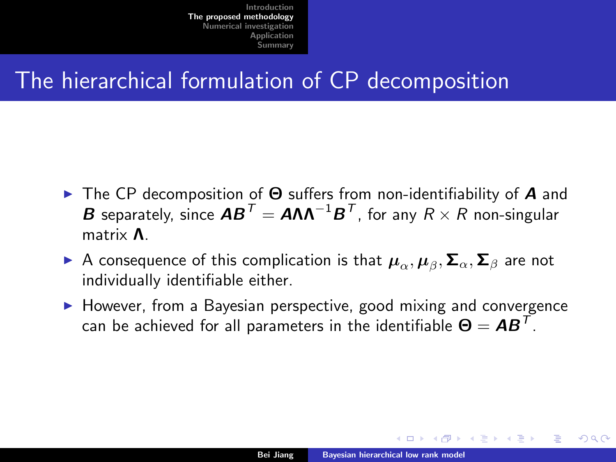# <span id="page-9-0"></span>The hierarchical formulation of CP decomposition

- **IF The CP decomposition of**  $\Theta$  **suffers from non-identifiability of A and**  $\bm{B}$  separately, since  $\bm{A}\bm{B}^T = \bm{A}\bm{\Lambda}\bm{\Lambda}^{-1}\bm{B}^T$ , for any  $R\times R$  non-singular matrix Λ.
- ► A consequence of this complication is that  $\bm{\mu}_{\alpha},\bm{\mu}_{\beta},\bm{\Sigma}_{\alpha},\bm{\Sigma}_{\beta}$  are not individually identifiable either.
- $\blacktriangleright$  However, from a Bayesian perspective, good mixing and convergence can be achieved for all parameters in the identifiable  $\boldsymbol{\Theta} = \boldsymbol{A}\boldsymbol{B}^T.$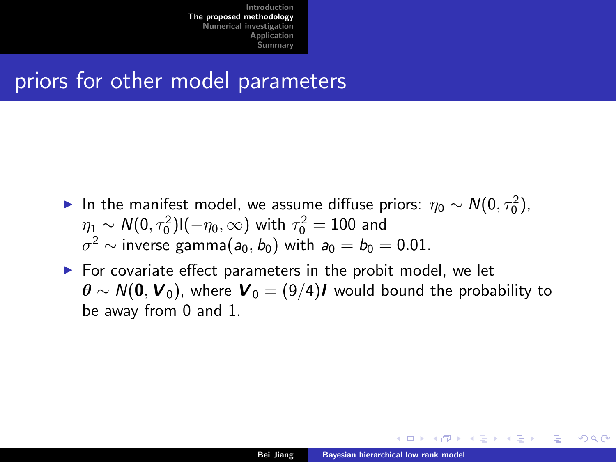### priors for other model parameters

- ► In the manifest model, we assume diffuse priors:  $\eta_0 \sim N(0, \tau_0^2)$ ,  $\eta_1 \sim \mathcal{N}(0,\tau_0^2)$ l $(-\eta_0,\infty)$  with  $\tau_0^2=100$  and  $\sigma^2 \sim$  inverse gamma $(a_0,b_0)$  with  $a_0=b_0=0.01$ .
- $\triangleright$  For covariate effect parameters in the probit model, we let  $\theta \sim N(0, V_0)$ , where  $V_0 = (9/4)I$  would bound the probability to be away from 0 and 1.

不良 下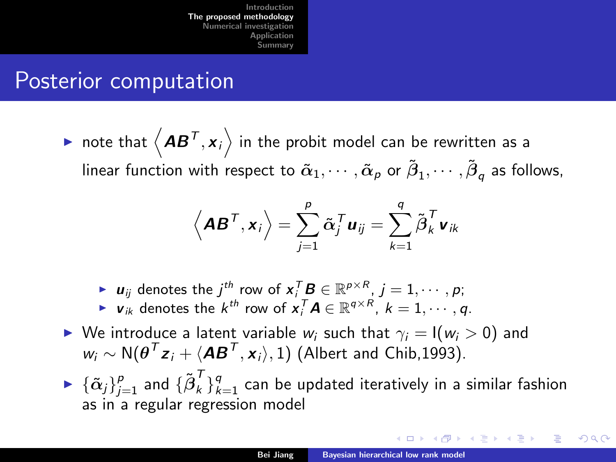### <span id="page-11-0"></span>Posterior computation

 $\blacktriangleright$  note that  $\left\langle \bm{A}\bm{B}^{\mathsf{T}}, \bm{x}_i \right\rangle$  in the probit model can be rewritten as a linear function with respect to  $\tilde\alpha_1,\cdots,\tilde\alpha_p$  or  $\tilde\beta_1,\cdots,\tilde\beta_q$  as follows,

$$
\left\langle \boldsymbol{A}\boldsymbol{B}^{\boldsymbol{\mathsf{T}}}, \boldsymbol{x}_i \right\rangle = \sum_{j=1}^p \tilde{\boldsymbol{\alpha}}_j^{\boldsymbol{\mathsf{T}}} \boldsymbol{u}_{ij} = \sum_{k=1}^q \tilde{\boldsymbol{\beta}}_k^{\boldsymbol{\mathsf{T}}} \boldsymbol{v}_{ik}
$$

- ►  $u_{ij}$  denotes the  $j^{th}$  row of  $x_i^T B \in \mathbb{R}^{p \times R}$ ,  $j = 1, \cdots, p;$
- ►  $v_{ik}$  denotes the  $k^{th}$  row of  $x_i^T A \in \mathbb{R}^{q \times R}$ ,  $k = 1, \cdots, q$ .
- ► We introduce a latent variable  $w_i$  such that  $\gamma_i = I(w_i > 0)$  and  $w_i \sim {\sf N}(\bm{\theta}^{\sf \tiny T} {\bm{z}}_i + \langle {\bm{A}} {\bm{B}}^{\sf \tiny T}, {\bm{x}}_i \rangle, 1)$  (Albert and Chib,1993).
- $\blacktriangleright \: \{\tilde{\alpha}_j\}_{j=1}^{\rho}$  and  $\{ {\tilde{\beta}}_k^{\mathcal{T}} \}_{k=1}^{q}$  can be updated iteratively in a similar fashion as in a regular regression model

∢ 重 ≯ → 重 ≯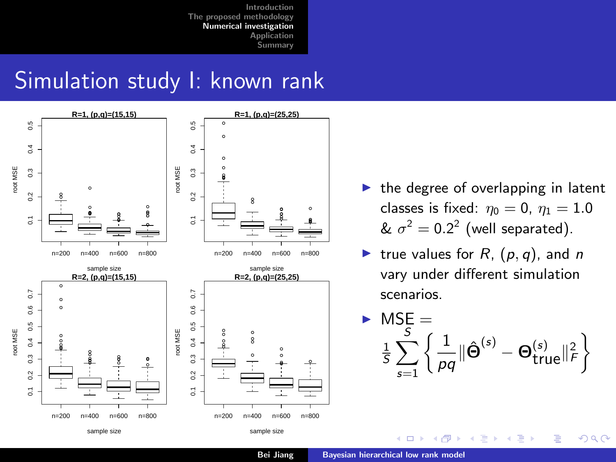### <span id="page-12-0"></span>Simulation study I: known rank



- $\blacktriangleright$  the degree of overlapping in latent classes is fixed:  $\eta_0 = 0$ ,  $\eta_1 = 1.0$ &  $\sigma^2 = 0.2^2$  (well separated).
- true values for  $R$ ,  $(p, q)$ , and n vary under different simulation scenarios.

$$
\triangleright \hspace{0.1cm} \begin{array}{l} \textsf{MSE} = \\ \frac{1}{5} \sum_{s=1}^{5} \left\{ \frac{1}{pq} || \hat{\boldsymbol{\Theta}}^{(s)} - \boldsymbol{\Theta}_{true}^{(s)} ||_F^2 \right\} \end{array}
$$

 $2Q$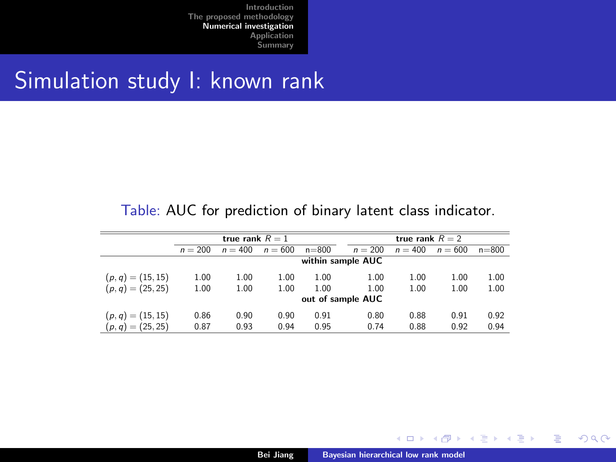#### Simulation study I: known rank

#### Table: AUC for prediction of binary latent class indicator.

|                     |                   | true rank $R=1$   |           |           | true rank $R = 2$ |           |           |           |  |  |  |  |
|---------------------|-------------------|-------------------|-----------|-----------|-------------------|-----------|-----------|-----------|--|--|--|--|
|                     | $n = 200$         | $n = 400$         | $n = 600$ | $n = 800$ | $n = 200$         | $n = 400$ | $n = 600$ | $n = 800$ |  |  |  |  |
|                     | within sample AUC |                   |           |           |                   |           |           |           |  |  |  |  |
| $(p, q) = (15, 15)$ | 1.00              | 1.00              | 1.00      | 1.00      | 1.00              | 1.00      | 1.00      | 1.00      |  |  |  |  |
| $(p, q) = (25, 25)$ | 1.00              | 1.00              | 1.00      | 1.00      | 1.00              | 1.00      | 1.00      | 1.00      |  |  |  |  |
|                     |                   | out of sample AUC |           |           |                   |           |           |           |  |  |  |  |
| $(p, q) = (15, 15)$ | 0.86              | 0.90              | 0.90      | 0.91      | 0.80              | 0.88      | 0.91      | 0.92      |  |  |  |  |
| $(p, q) = (25, 25)$ | 0.87              | 0.93              | 0.94      | 0.95      | 0.74              | 0.88      | 0.92      | 0.94      |  |  |  |  |

 $4.17 \times$ 

 $\rightarrow \equiv$ 

Э×

Þ

 $2Q$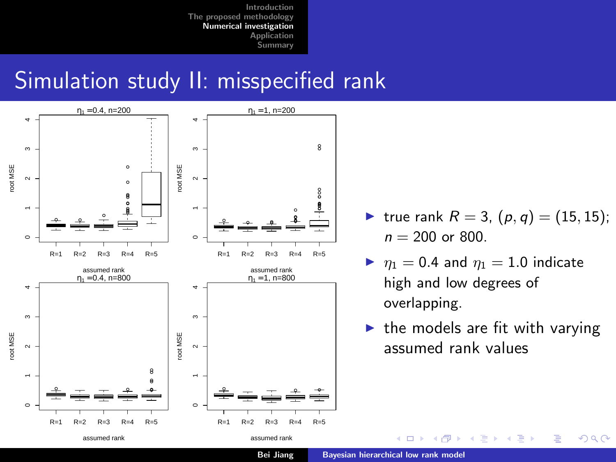## Simulation study II: misspecified rank



- true rank  $R = 3$ ,  $(p, q) = (15, 15)$ ;  $n = 200$  or 800.
- $\blacktriangleright$   $\eta_1 = 0.4$  and  $\eta_1 = 1.0$  indicate high and low degrees of overlapping.
- $\blacktriangleright$  the models are fit with varying assumed rank values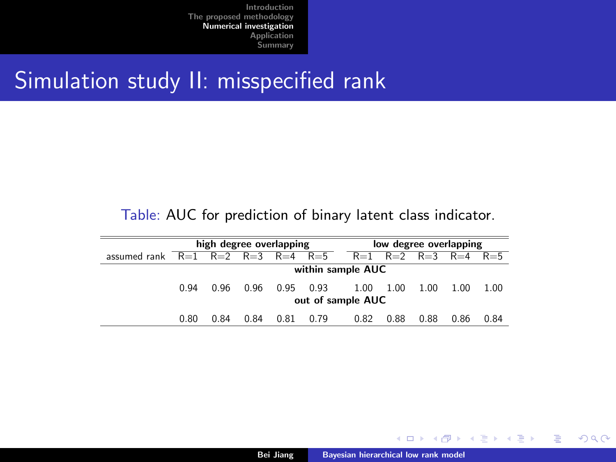### <span id="page-15-0"></span>Simulation study II: misspecified rank

#### Table: AUC for prediction of binary latent class indicator.

|                                            | high degree overlapping |      |      |      |      | low degree overlapping        |      |      |      |      |  |  |
|--------------------------------------------|-------------------------|------|------|------|------|-------------------------------|------|------|------|------|--|--|
| assumed rank $R=1$ $R=2$ $R=3$ $R=4$ $R=5$ |                         |      |      |      |      | $R=1$ $R=2$ $R=3$ $R=4$ $R=5$ |      |      |      |      |  |  |
|                                            | within sample AUC       |      |      |      |      |                               |      |      |      |      |  |  |
|                                            | 0.94                    | 0.96 | 0.96 | 0.95 | 0.93 | 1.00                          | 1.00 | 1.00 | 1.00 | 1.00 |  |  |
|                                            | out of sample AUC       |      |      |      |      |                               |      |      |      |      |  |  |
|                                            | 0.80                    | 0.84 | 0.84 | 0.81 | 0.79 | 0.82                          | 0.88 | 0.88 | 0.86 | 0.84 |  |  |

 $4.17 \times$ 

Þ

∍  $\mathbf{p}$ メ ヨ ト  $2Q$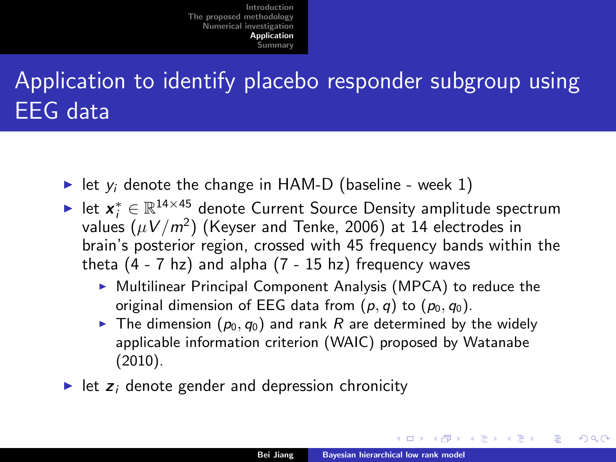# <span id="page-16-0"></span>Application to identify placebo responder subgroup using EEG data

- In let  $y_i$  denote the change in HAM-D (baseline week 1)
- ► let  $x_i^* \in \mathbb{R}^{14 \times 45}$  denote Current Source Density amplitude spectrum values  $(\mu V/m^2)$  (Keyser and Tenke, 2006) at 14 electrodes in brain's posterior region, crossed with 45 frequency bands within the theta  $(4 - 7)$  hz) and alpha  $(7 - 15)$  hz) frequency waves
	- $\triangleright$  Multilinear Principal Component Analysis (MPCA) to reduce the original dimension of EEG data from  $(p, q)$  to  $(p_0, q_0)$ .
	- $\blacktriangleright$  The dimension  $(p_0, q_0)$  and rank R are determined by the widely applicable information criterion (WAIC) proposed by Watanabe (2010).
- $\blacktriangleright$  let  $z_i$  denote gender and depression chronicity

||4 周 8 14 周 8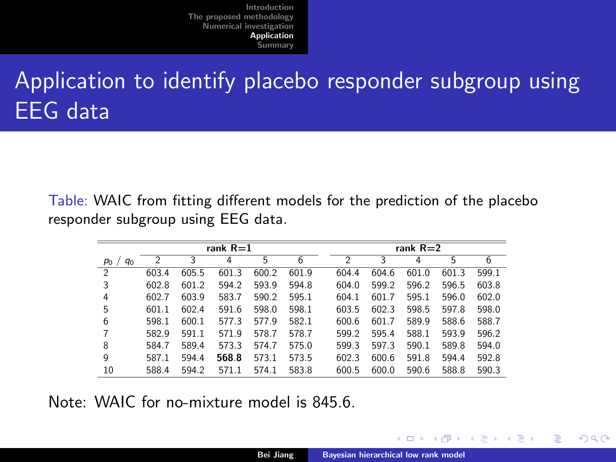# Application to identify placebo responder subgroup using EEG data

Table: WAIC from fitting different models for the prediction of the placebo responder subgroup using EEG data.

|                  | rank $R=1$     |       |       |       |       |  |                | rank $R=2$ |       |       |       |  |  |
|------------------|----------------|-------|-------|-------|-------|--|----------------|------------|-------|-------|-------|--|--|
| $q_0$<br>$P_0$ / | $\mathfrak{p}$ | 3     | 4     | 5     | 6     |  | $\mathfrak{p}$ | 3          | 4     | 5     | 6     |  |  |
| $\mathfrak{D}$   | 603.4          | 605.5 | 601.3 | 600.2 | 601.9 |  | 604.4          | 604.6      | 601.0 | 601.3 | 599.1 |  |  |
| 3                | 602.8          | 601.2 | 594.2 | 593.9 | 594.8 |  | 604.0          | 599.2      | 596.2 | 596.5 | 603.8 |  |  |
| 4                | 602.7          | 603.9 | 583.7 | 590.2 | 595.1 |  | 604.1          | 601.7      | 595.1 | 596.0 | 602.0 |  |  |
| 5                | 601.1          | 602.4 | 591.6 | 598.0 | 598.1 |  | 603.5          | 602.3      | 598.5 | 597.8 | 598.0 |  |  |
| 6                | 598.1          | 600.1 | 577.3 | 577.9 | 582.1 |  | 600.6          | 601.7      | 589.9 | 588.6 | 588.7 |  |  |
| 7                | 582.9          | 591.1 | 571.9 | 578.7 | 578.7 |  | 599.2          | 595.4      | 588.1 | 593.9 | 596.2 |  |  |
| 8                | 584.7          | 589.4 | 573.3 | 574.7 | 575.0 |  | 599.3          | 597.3      | 590.1 | 589.8 | 594.0 |  |  |
| 9                | 587.1          | 594.4 | 568.8 | 573.1 | 573.5 |  | 602.3          | 600.6      | 591.8 | 594.4 | 592.8 |  |  |
| 10               | 588.4          | 594.2 | 571.1 | 574.1 | 583.8 |  | 600.5          | 600.0      | 590.6 | 588.8 | 590.3 |  |  |

Note: WAIC for no-mixture model is 845.6

一 4 (王) ト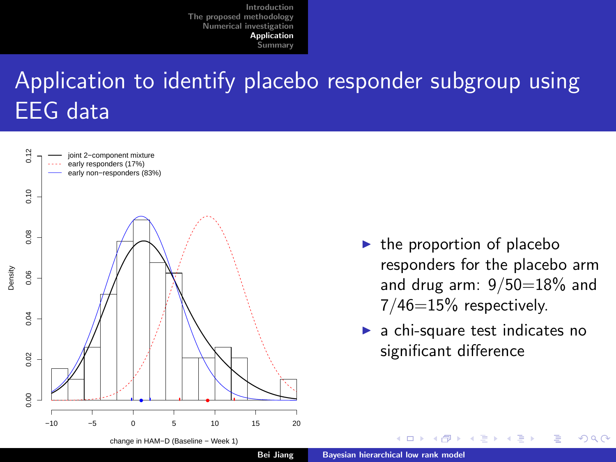# Application to identify placebo responder subgroup using EEG data



- $\blacktriangleright$  the proportion of placebo responders for the placebo arm and drug arm:  $9/50=18%$  and  $7/46=15%$  respectively.
- a chi-square test indicates no significant difference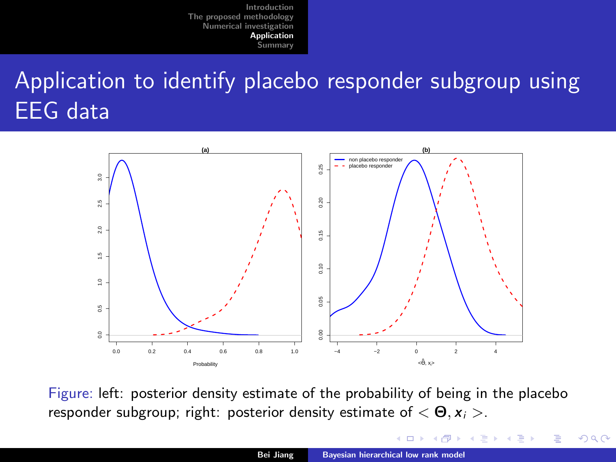# <span id="page-19-0"></span>Application to identify placebo responder subgroup using EEG data



Figure: left: posterior density estimate of the probability of being in the placebo responder subgroup; right: posterior density estimate of  $\langle \Theta, x_i \rangle$ .

 $2Q$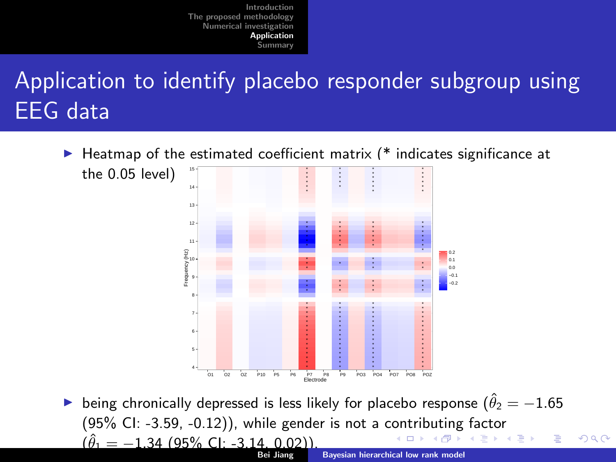# <span id="page-20-0"></span>Application to identify placebo responder subgroup using EEG data

 $\blacktriangleright$  Heatmap of the estimated coefficient matrix (\* indicates significance at



being chronically depressed is less likely for placebo response ( $\hat{\theta}_2 = -1.65$ ) (95% CI: -3.59, -0.12)), while gender is not a c[on](#page-19-0)t[rib](#page-21-0)[u](#page-19-0)[tin](#page-20-0)[g](#page-21-0) [f](#page-15-0)[a](#page-16-0)[ct](#page-20-0)[o](#page-21-0)[r](#page-15-0)  $(\hat{\theta}_1 = -1.34$  (95% CI: -3.14, 0.02))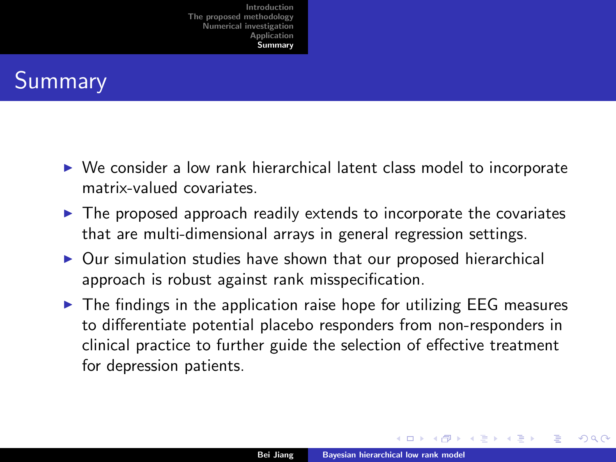# <span id="page-21-0"></span>Summary

- $\triangleright$  We consider a low rank hierarchical latent class model to incorporate matrix-valued covariates.
- $\triangleright$  The proposed approach readily extends to incorporate the covariates that are multi-dimensional arrays in general regression settings.
- $\triangleright$  Our simulation studies have shown that our proposed hierarchical approach is robust against rank misspecification.
- $\triangleright$  The findings in the application raise hope for utilizing EEG measures to differentiate potential placebo responders from non-responders in clinical practice to further guide the selection of effective treatment for depression patients.

不良 下

 $\Omega$